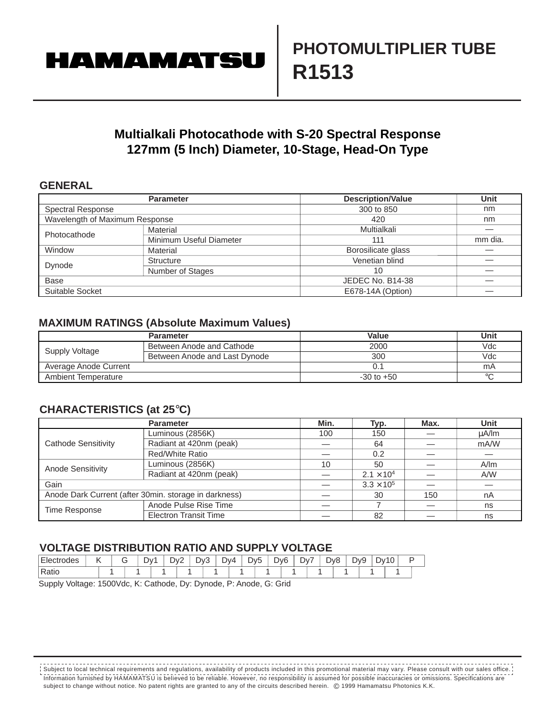# **HAMAMATSU**

## **Multialkali Photocathode with S-20 Spectral Response 127mm (5 Inch) Diameter, 10-Stage, Head-On Type**

#### **GENERAL**

|                                | <b>Parameter</b>        | <b>Description/Value</b> | Unit    |
|--------------------------------|-------------------------|--------------------------|---------|
| <b>Spectral Response</b>       |                         | 300 to 850               | nm      |
| Wavelength of Maximum Response |                         | 420                      | nm      |
| Photocathode                   | Material                | Multialkali              |         |
|                                | Minimum Useful Diameter | 111                      | mm dia. |
| Window                         | Material                | Borosilicate glass       |         |
| Dynode                         | Structure               | Venetian blind           |         |
|                                | Number of Stages        | 10                       |         |
| <b>Base</b>                    |                         | JEDEC No. B14-38         |         |
| Suitable Socket                |                         | E678-14A (Option)        |         |

### **MAXIMUM RATINGS (Absolute Maximum Values)**

|                       | <b>Parameter</b>              | Value          | Unit    |
|-----------------------|-------------------------------|----------------|---------|
| Supply Voltage        | Between Anode and Cathode     | 2000           | Vdc     |
|                       | Between Anode and Last Dynode | 300            | Vdc     |
| Average Anode Current |                               | J. 1           | mA      |
| Ambient Temperature   |                               | $-30$ to $+50$ | $\circ$ |

## **CHARACTERISTICS (at 25**°**C)**

|                     | <b>Parameter</b>                                      | Min. | Typ.                | Max. | Unit  |
|---------------------|-------------------------------------------------------|------|---------------------|------|-------|
| Cathode Sensitivity | Luminous (2856K)                                      | 100  | 150                 |      | uA/lm |
|                     | Radiant at 420nm (peak)                               |      | 64                  |      | mA/W  |
|                     | Red/White Ratio                                       |      | 0.2                 |      |       |
| Anode Sensitivity   | Luminous (2856K)                                      | 10   | 50                  |      | A/m   |
|                     | Radiant at 420nm (peak)                               |      | $2.1 \times 10^{4}$ |      | A/W   |
| Gain                |                                                       |      | $3.3 \times 10^{5}$ |      |       |
|                     | Anode Dark Current (after 30min. storage in darkness) |      | 30                  | 150  | nA    |
| Time Response       | Anode Pulse Rise Time                                 |      |                     |      | ns    |
|                     | <b>Electron Transit Time</b>                          |      | 82                  |      | ns    |

## **VOLTAGE DISTRIBUTION RATIO AND SUPPLY VOLTAGE**

| $-$<br><b>Electrodes</b> | . . | Dv. | י∨ר<br>ັ | $\sim$<br>`∨ل | -<br>DV4 | -<br>Dv5 | י∨ר | Dv | $\overline{\phantom{a}}$ | D <sub>v</sub> 8 | D <sub>v9</sub> | ^∨ل | $\overline{\phantom{a}}$ |  |
|--------------------------|-----|-----|----------|---------------|----------|----------|-----|----|--------------------------|------------------|-----------------|-----|--------------------------|--|
| <b>Ratio</b>             |     |     |          |               |          |          |     |    |                          |                  |                 |     |                          |  |

Supply Voltage: 1500Vdc, K: Cathode, Dy: Dynode, P: Anode, G: Grid

Information furnished by HAMAMATSU is believed to be reliable. However, no responsibility is assumed for possible inaccuracies or omissions. Specifications are subject to change without notice. No patent rights are granted to any of the circuits described herein. © 1999 Hamamatsu Photonics K.K. Subject to local technical requirements and regulations, availability of products included in this promotional material may vary. Please consult with our sales office.